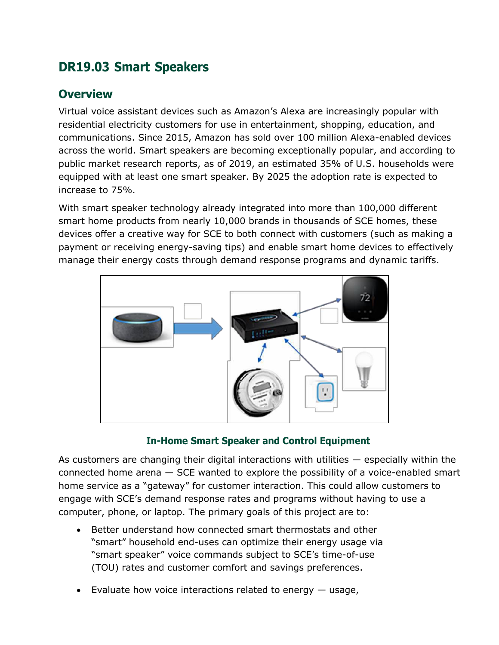# **DR19.03 Smart Speakers**

## **Overview**

Virtual voice assistant devices such as Amazon's Alexa are increasingly popular with residential electricity customers for use in entertainment, shopping, education, and communications. Since 2015, Amazon has sold over 100 million Alexa-enabled devices across the world. Smart speakers are becoming exceptionally popular, and according to public market research reports, as of 2019, an estimated 35% of U.S. households were equipped with at least one smart speaker. By 2025 the adoption rate is expected to increase to 75%.

With smart speaker technology already integrated into more than 100,000 different smart home products from nearly 10,000 brands in thousands of SCE homes, these devices offer a creative way for SCE to both connect with customers (such as making a payment or receiving energy-saving tips) and enable smart home devices to effectively manage their energy costs through demand response programs and dynamic tariffs.



#### **In-Home Smart Speaker and Control Equipment**

As customers are changing their digital interactions with utilities — especially within the connected home arena — SCE wanted to explore the possibility of a voice-enabled smart home service as a "gateway" for customer interaction. This could allow customers to engage with SCE's demand response rates and programs without having to use a computer, phone, or laptop. The primary goals of this project are to:

- Better understand how connected smart thermostats and other "smart" household end-uses can optimize their energy usage via "smart speaker" voice commands subject to SCE's time-of-use (TOU) rates and customer comfort and savings preferences.
- Evaluate how voice interactions related to energy  $-$  usage,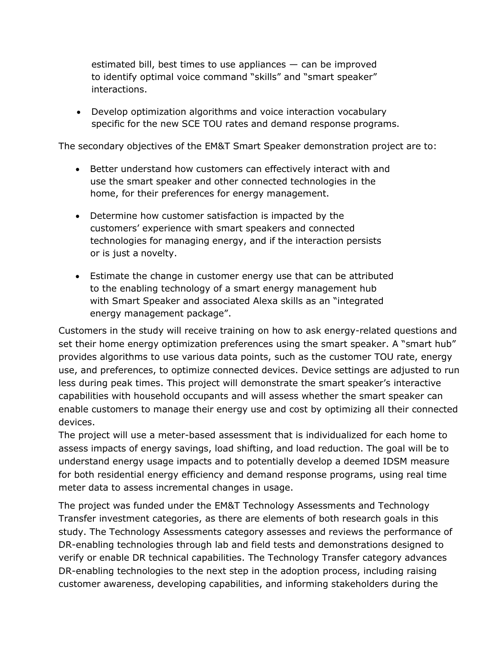estimated bill, best times to use appliances — can be improved to identify optimal voice command "skills" and "smart speaker" interactions.

• Develop optimization algorithms and voice interaction vocabulary specific for the new SCE TOU rates and demand response programs.

The secondary objectives of the EM&T Smart Speaker demonstration project are to:

- Better understand how customers can effectively interact with and use the smart speaker and other connected technologies in the home, for their preferences for energy management.
- Determine how customer satisfaction is impacted by the customers' experience with smart speakers and connected technologies for managing energy, and if the interaction persists or is just a novelty.
- Estimate the change in customer energy use that can be attributed to the enabling technology of a smart energy management hub with Smart Speaker and associated Alexa skills as an "integrated energy management package".

Customers in the study will receive training on how to ask energy-related questions and set their home energy optimization preferences using the smart speaker. A "smart hub" provides algorithms to use various data points, such as the customer TOU rate, energy use, and preferences, to optimize connected devices. Device settings are adjusted to run less during peak times. This project will demonstrate the smart speaker's interactive capabilities with household occupants and will assess whether the smart speaker can enable customers to manage their energy use and cost by optimizing all their connected devices.

The project will use a meter-based assessment that is individualized for each home to assess impacts of energy savings, load shifting, and load reduction. The goal will be to understand energy usage impacts and to potentially develop a deemed IDSM measure for both residential energy efficiency and demand response programs, using real time meter data to assess incremental changes in usage.

The project was funded under the EM&T Technology Assessments and Technology Transfer investment categories, as there are elements of both research goals in this study. The Technology Assessments category assesses and reviews the performance of DR-enabling technologies through lab and field tests and demonstrations designed to verify or enable DR technical capabilities. The Technology Transfer category advances DR-enabling technologies to the next step in the adoption process, including raising customer awareness, developing capabilities, and informing stakeholders during the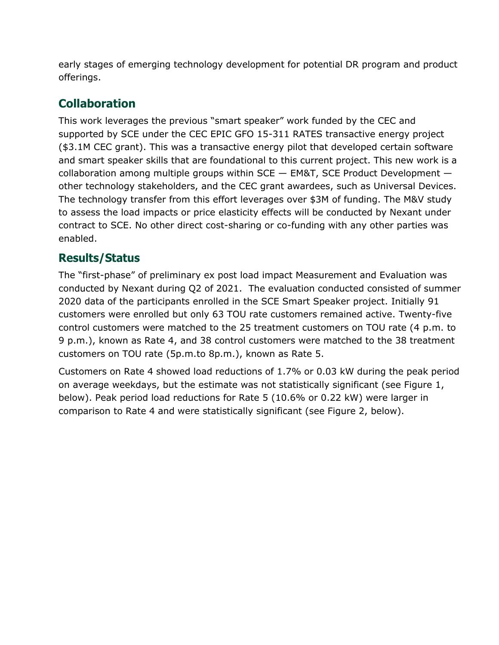early stages of emerging technology development for potential DR program and product offerings.

## **Collaboration**

This work leverages the previous "smart speaker" work funded by the CEC and supported by SCE under the CEC EPIC GFO 15-311 RATES transactive energy project (\$3.1M CEC grant). This was a transactive energy pilot that developed certain software and smart speaker skills that are foundational to this current project. This new work is a collaboration among multiple groups within  $SCE - EM8T$ , SCE Product Development  $$ other technology stakeholders, and the CEC grant awardees, such as Universal Devices. The technology transfer from this effort leverages over \$3M of funding. The M&V study to assess the load impacts or price elasticity effects will be conducted by Nexant under contract to SCE. No other direct cost-sharing or co-funding with any other parties was enabled.

## **Results/Status**

The "first-phase" of preliminary ex post load impact Measurement and Evaluation was conducted by Nexant during Q2 of 2021. The evaluation conducted consisted of summer 2020 data of the participants enrolled in the SCE Smart Speaker project. Initially 91 customers were enrolled but only 63 TOU rate customers remained active. Twenty-five control customers were matched to the 25 treatment customers on TOU rate (4 p.m. to 9 p.m.), known as Rate 4, and 38 control customers were matched to the 38 treatment customers on TOU rate (5p.m.to 8p.m.), known as Rate 5.

Customers on Rate 4 showed load reductions of 1.7% or 0.03 kW during the peak period on average weekdays, but the estimate was not statistically significant (see Figure 1, below). Peak period load reductions for Rate 5 (10.6% or 0.22 kW) were larger in comparison to Rate 4 and were statistically significant (see Figure 2, below).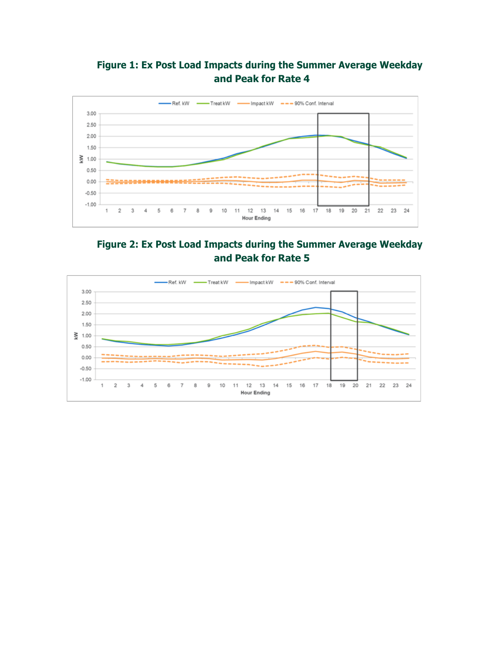### **Figure 1: Ex Post Load Impacts during the Summer Average Weekday and Peak for Rate 4**



#### **Figure 2: Ex Post Load Impacts during the Summer Average Weekday and Peak for Rate 5**

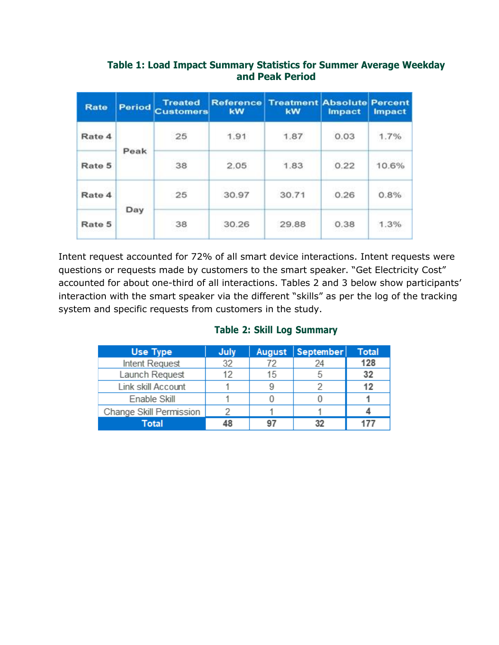| Rate   | Period | <b>Treated</b><br><b>Customers</b> | <b>kW</b> | <b>Reference Treatment Absolute Percent</b><br>kW | <b>Impact</b> | Impact |
|--------|--------|------------------------------------|-----------|---------------------------------------------------|---------------|--------|
| Rate 4 | Peak   | 25                                 | 1.91      | 1.87                                              | 0.03          | 1.7%   |
| Rate 5 |        | 38                                 | 2.05      | 1.83                                              | 0.22          | 10.6%  |
| Rate 4 | Day    | 25                                 | 30.97     | 30.71                                             | 0.26          | 0.8%   |
| Rate 5 |        | 38                                 | 30.26     | 29.88                                             | 0.38          | 1.3%   |

#### **Table 1: Load Impact Summary Statistics for Summer Average Weekday and Peak Period**

Intent request accounted for 72% of all smart device interactions. Intent requests were questions or requests made by customers to the smart speaker. "Get Electricity Cost" accounted for about one-third of all interactions. Tables 2 and 3 below show participants' interaction with the smart speaker via the different "skills" as per the log of the tracking system and specific requests from customers in the study.

| <b>Use Type</b>         | July | August | September | <b>Total</b> |
|-------------------------|------|--------|-----------|--------------|
| Intent Request          | 32   | 72     | 24        | 128          |
| Launch Request          | 12   | 15     |           | 32           |
| Link skill Account      |      | 9      |           | 12           |
| Enable Skill            |      |        |           |              |
| Change Skill Permission |      |        |           |              |
| <b>Total</b>            |      | 97     | 32        |              |

#### **Table 2: Skill Log Summary**